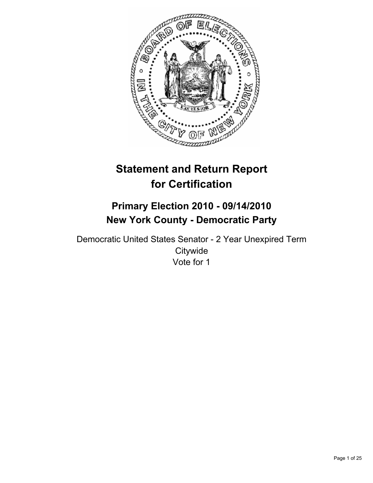

# **Statement and Return Report for Certification**

# **Primary Election 2010 - 09/14/2010 New York County - Democratic Party**

Democratic United States Senator - 2 Year Unexpired Term **Citywide** Vote for 1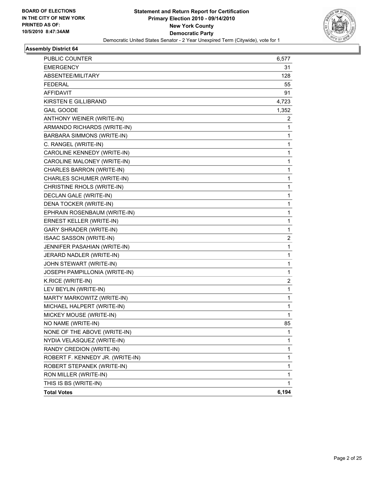

| PUBLIC COUNTER                   | 6,577                   |
|----------------------------------|-------------------------|
| <b>EMERGENCY</b>                 | 31                      |
| ABSENTEE/MILITARY                | 128                     |
| <b>FEDERAL</b>                   | 55                      |
| <b>AFFIDAVIT</b>                 | 91                      |
| KIRSTEN E GILLIBRAND             | 4,723                   |
| <b>GAIL GOODE</b>                | 1,352                   |
| ANTHONY WEINER (WRITE-IN)        | 2                       |
| ARMANDO RICHARDS (WRITE-IN)      | 1                       |
| BARBARA SIMMONS (WRITE-IN)       | 1                       |
| C. RANGEL (WRITE-IN)             | 1                       |
| CAROLINE KENNEDY (WRITE-IN)      | 1                       |
| CAROLINE MALONEY (WRITE-IN)      | 1                       |
| CHARLES BARRON (WRITE-IN)        | 1                       |
| CHARLES SCHUMER (WRITE-IN)       | 1                       |
| CHRISTINE RHOLS (WRITE-IN)       | 1                       |
| DECLAN GALE (WRITE-IN)           | 1                       |
| DENA TOCKER (WRITE-IN)           | 1                       |
| EPHRAIN ROSENBAUM (WRITE-IN)     | 1                       |
| <b>ERNEST KELLER (WRITE-IN)</b>  | 1                       |
| <b>GARY SHRADER (WRITE-IN)</b>   | 1                       |
| ISAAC SASSON (WRITE-IN)          | 2                       |
| JENNIFER PASAHIAN (WRITE-IN)     | 1                       |
| JERARD NADLER (WRITE-IN)         | 1                       |
| JOHN STEWART (WRITE-IN)          | 1                       |
| JOSEPH PAMPILLONIA (WRITE-IN)    | 1                       |
| K.RICE (WRITE-IN)                | $\overline{\mathbf{c}}$ |
| LEV BEYLIN (WRITE-IN)            | 1                       |
| MARTY MARKOWITZ (WRITE-IN)       | 1                       |
| MICHAEL HALPERT (WRITE-IN)       | 1                       |
| MICKEY MOUSE (WRITE-IN)          | 1                       |
| NO NAME (WRITE-IN)               | 85                      |
| NONE OF THE ABOVE (WRITE-IN)     | 1                       |
| NYDIA VELASQUEZ (WRITE-IN)       | 1                       |
| RANDY CREDION (WRITE-IN)         | 1                       |
| ROBERT F. KENNEDY JR. (WRITE-IN) | 1                       |
| ROBERT STEPANEK (WRITE-IN)       | 1                       |
| RON MILLER (WRITE-IN)            | 1                       |
| THIS IS BS (WRITE-IN)            | 1                       |
| <b>Total Votes</b>               | 6,194                   |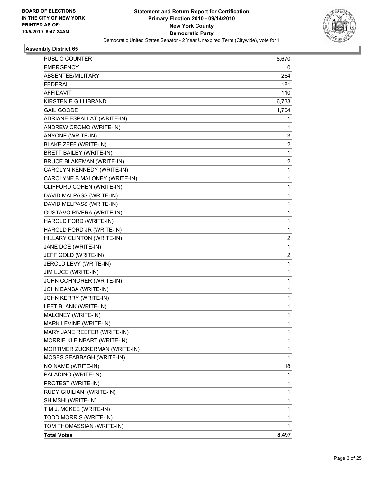

| PUBLIC COUNTER                   | 8,670                   |
|----------------------------------|-------------------------|
| <b>EMERGENCY</b>                 | 0                       |
| ABSENTEE/MILITARY                | 264                     |
| <b>FEDERAL</b>                   | 181                     |
| <b>AFFIDAVIT</b>                 | 110                     |
| <b>KIRSTEN E GILLIBRAND</b>      | 6,733                   |
| <b>GAIL GOODE</b>                | 1,704                   |
| ADRIANE ESPALLAT (WRITE-IN)      | 1                       |
| ANDREW CROMO (WRITE-IN)          | 1                       |
| ANYONE (WRITE-IN)                | 3                       |
| BLAKE ZEFF (WRITE-IN)            | 2                       |
| <b>BRETT BAILEY (WRITE-IN)</b>   | 1                       |
| <b>BRUCE BLAKEMAN (WRITE-IN)</b> | $\overline{\mathbf{c}}$ |
| CAROLYN KENNEDY (WRITE-IN)       | 1                       |
| CAROLYNE B MALONEY (WRITE-IN)    | 1                       |
| CLIFFORD COHEN (WRITE-IN)        | 1                       |
| DAVID MALPASS (WRITE-IN)         | 1                       |
| DAVID MELPASS (WRITE-IN)         | 1                       |
| <b>GUSTAVO RIVERA (WRITE-IN)</b> | 1                       |
| HAROLD FORD (WRITE-IN)           | 1                       |
| HAROLD FORD JR (WRITE-IN)        | 1                       |
| HILLARY CLINTON (WRITE-IN)       | 2                       |
| JANE DOE (WRITE-IN)              | 1                       |
| JEFF GOLD (WRITE-IN)             | 2                       |
| JEROLD LEVY (WRITE-IN)           | 1                       |
| JIM LUCE (WRITE-IN)              | 1                       |
| JOHN COHNORER (WRITE-IN)         | 1                       |
| JOHN EANSA (WRITE-IN)            | 1                       |
| JOHN KERRY (WRITE-IN)            | 1                       |
| LEFT BLANK (WRITE-IN)            | 1                       |
| MALONEY (WRITE-IN)               | 1                       |
| MARK LEVINE (WRITE-IN)           | 1                       |
| MARY JANE REEFER (WRITE-IN)      | 1                       |
| MORRIE KLEINBART (WRITE-IN)      | 1                       |
| MORTIMER ZUCKERMAN (WRITE-IN)    | 1                       |
| MOSES SEABBAGH (WRITE-IN)        | 1                       |
| NO NAME (WRITE-IN)               | 18                      |
| PALADINO (WRITE-IN)              | 1                       |
| PROTEST (WRITE-IN)               | 1                       |
| RUDY GIUILIANI (WRITE-IN)        | 1                       |
| SHIMSHI (WRITE-IN)               | 1                       |
| TIM J. MCKEE (WRITE-IN)          | 1                       |
| TODD MORRIS (WRITE-IN)           | 1                       |
| TOM THOMASSIAN (WRITE-IN)        | 1                       |
| <b>Total Votes</b>               | 8,497                   |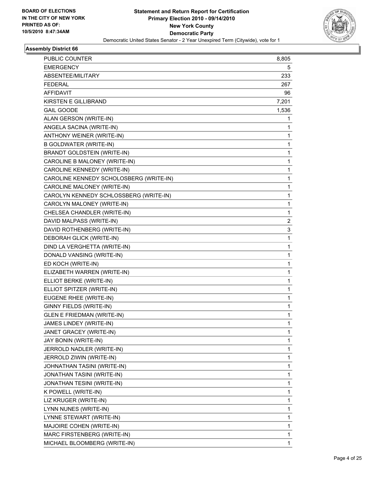

| <b>PUBLIC COUNTER</b>                   | 8,805        |
|-----------------------------------------|--------------|
| <b>EMERGENCY</b>                        | 5            |
| ABSENTEE/MILITARY                       | 233          |
| <b>FEDERAL</b>                          | 267          |
| <b>AFFIDAVIT</b>                        | 96           |
| KIRSTEN E GILLIBRAND                    | 7,201        |
| <b>GAIL GOODE</b>                       | 1,536        |
| ALAN GERSON (WRITE-IN)                  | 1            |
| ANGELA SACINA (WRITE-IN)                | 1            |
| ANTHONY WEINER (WRITE-IN)               | 1            |
| <b>B GOLDWATER (WRITE-IN)</b>           | 1            |
| <b>BRANDT GOLDSTEIN (WRITE-IN)</b>      | 1            |
| CAROLINE B MALONEY (WRITE-IN)           | 1            |
| CAROLINE KENNEDY (WRITE-IN)             | 1            |
| CAROLINE KENNEDY SCHOLOSBERG (WRITE-IN) | 1            |
| CAROLINE MALONEY (WRITE-IN)             | 1            |
| CAROLYN KENNEDY SCHLOSSBERG (WRITE-IN)  | 1            |
| CAROLYN MALONEY (WRITE-IN)              | 1            |
| CHELSEA CHANDLER (WRITE-IN)             | 1            |
| DAVID MALPASS (WRITE-IN)                | 2            |
| DAVID ROTHENBERG (WRITE-IN)             | 3            |
| DEBORAH GLICK (WRITE-IN)                | 1            |
| DIND LA VERGHETTA (WRITE-IN)            | 1            |
| DONALD VANSING (WRITE-IN)               | 1            |
| ED KOCH (WRITE-IN)                      | 1            |
| ELIZABETH WARREN (WRITE-IN)             | 1            |
| ELLIOT BERKE (WRITE-IN)                 | 1            |
| ELLIOT SPITZER (WRITE-IN)               | 1            |
| EUGENE RHEE (WRITE-IN)                  | 1            |
| GINNY FIELDS (WRITE-IN)                 | 1            |
| <b>GLEN E FRIEDMAN (WRITE-IN)</b>       | 1            |
| JAMES LINDEY (WRITE-IN)                 | $\mathbf{1}$ |
| JANET GRACEY (WRITE-IN)                 | 1            |
| JAY BONIN (WRITE-IN)                    | 1            |
| JERROLD NADLER (WRITE-IN)               | 1            |
| JERROLD ZIWIN (WRITE-IN)                | 1            |
| JOHNATHAN TASINI (WRITE-IN)             | 1            |
| JONATHAN TASINI (WRITE-IN)              | 1            |
| JONATHAN TESINI (WRITE-IN)              | 1            |
| K POWELL (WRITE-IN)                     | 1            |
| LIZ KRUGER (WRITE-IN)                   | 1            |
| LYNN NUNES (WRITE-IN)                   | 1            |
| LYNNE STEWART (WRITE-IN)                | 1            |
| MAJOIRE COHEN (WRITE-IN)                | 1            |
| MARC FIRSTENBERG (WRITE-IN)             | 1            |
| MICHAEL BLOOMBERG (WRITE-IN)            | 1            |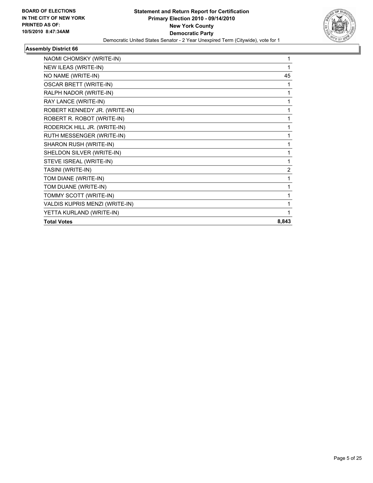

| NAOMI CHOMSKY (WRITE-IN)       | 1              |
|--------------------------------|----------------|
| NEW ILEAS (WRITE-IN)           | 1              |
| NO NAME (WRITE-IN)             | 45             |
| OSCAR BRETT (WRITE-IN)         | 1              |
| RALPH NADOR (WRITE-IN)         | 1              |
| RAY LANCE (WRITE-IN)           | 1              |
| ROBERT KENNEDY JR. (WRITE-IN)  | 1              |
| ROBERT R. ROBOT (WRITE-IN)     | 1              |
| RODERICK HILL JR. (WRITE-IN)   | 1              |
| RUTH MESSENGER (WRITE-IN)      | 1              |
| SHARON RUSH (WRITE-IN)         | 1              |
| SHELDON SILVER (WRITE-IN)      | 1              |
| STEVE ISREAL (WRITE-IN)        | 1              |
| TASINI (WRITE-IN)              | $\overline{2}$ |
| TOM DIANE (WRITE-IN)           | 1              |
| TOM DUANE (WRITE-IN)           | 1              |
| TOMMY SCOTT (WRITE-IN)         | 1              |
| VALDIS KUPRIS MENZI (WRITE-IN) | 1              |
| YETTA KURLAND (WRITE-IN)       | 1              |
| <b>Total Votes</b>             | 8,843          |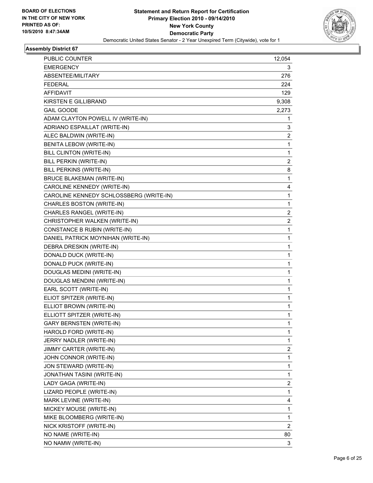

| PUBLIC COUNTER                          | 12,054 |
|-----------------------------------------|--------|
| <b>EMERGENCY</b>                        | 3      |
| ABSENTEE/MILITARY                       | 276    |
| <b>FEDERAL</b>                          | 224    |
| <b>AFFIDAVIT</b>                        | 129    |
| <b>KIRSTEN E GILLIBRAND</b>             | 9,308  |
| <b>GAIL GOODE</b>                       | 2,273  |
| ADAM CLAYTON POWELL IV (WRITE-IN)       | 1      |
| ADRIANO ESPAILLAT (WRITE-IN)            | 3      |
| ALEC BALDWIN (WRITE-IN)                 | 2      |
| BENITA LEBOW (WRITE-IN)                 | 1      |
| <b>BILL CLINTON (WRITE-IN)</b>          | 1      |
| BILL PERKIN (WRITE-IN)                  | 2      |
| BILL PERKINS (WRITE-IN)                 | 8      |
| <b>BRUCE BLAKEMAN (WRITE-IN)</b>        | 1      |
| CAROLINE KENNEDY (WRITE-IN)             | 4      |
| CAROLINE KENNEDY SCHLOSSBERG (WRITE-IN) | 1      |
| CHARLES BOSTON (WRITE-IN)               | 1      |
| CHARLES RANGEL (WRITE-IN)               | 2      |
| CHRISTOPHER WALKEN (WRITE-IN)           | 2      |
| CONSTANCE B RUBIN (WRITE-IN)            | 1      |
| DANIEL PATRICK MOYNIHAN (WRITE-IN)      | 1      |
| DEBRA DRESKIN (WRITE-IN)                | 1      |
| DONALD DUCK (WRITE-IN)                  | 1      |
| DONALD PUCK (WRITE-IN)                  | 1      |
| DOUGLAS MEDINI (WRITE-IN)               | 1      |
| DOUGLAS MENDINI (WRITE-IN)              | 1      |
| EARL SCOTT (WRITE-IN)                   | 1      |
| ELIOT SPITZER (WRITE-IN)                | 1      |
| ELLIOT BROWN (WRITE-IN)                 | 1      |
| ELLIOTT SPITZER (WRITE-IN)              | 1      |
| <b>GARY BERNSTEN (WRITE-IN)</b>         | 1      |
| HAROLD FORD (WRITE-IN)                  | 1      |
| JERRY NADLER (WRITE-IN)                 | 1      |
| JIMMY CARTER (WRITE-IN)                 | 2      |
| JOHN CONNOR (WRITE-IN)                  | 1      |
| JON STEWARD (WRITE-IN)                  | 1      |
| JONATHAN TASINI (WRITE-IN)              | 1      |
| LADY GAGA (WRITE-IN)                    | 2      |
| LIZARD PEOPLE (WRITE-IN)                | 1      |
| MARK LEVINE (WRITE-IN)                  | 4      |
| MICKEY MOUSE (WRITE-IN)                 | 1      |
| MIKE BLOOMBERG (WRITE-IN)               | 1      |
| NICK KRISTOFF (WRITE-IN)                | 2      |
| NO NAME (WRITE-IN)                      | 80     |
| NO NAMW (WRITE-IN)                      | 3      |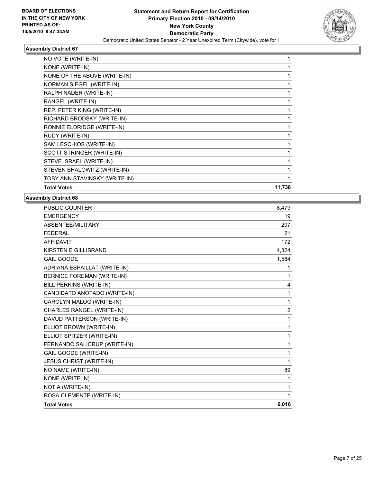

| NO VOTE (WRITE-IN)            |        |
|-------------------------------|--------|
| NONE (WRITE-IN)               |        |
| NONE OF THE ABOVE (WRITE-IN)  |        |
| NORMAN SIEGEL (WRITE-IN)      |        |
| RALPH NADER (WRITE-IN)        |        |
| RANGEL (WRITE-IN)             |        |
| REP. PETER KING (WRITE-IN)    |        |
| RICHARD BRODSKY (WRITE-IN)    |        |
| RONNIE ELDRIDGE (WRITE-IN)    |        |
| RUDY (WRITE-IN)               |        |
| SAM LESCHIOS (WRITE-IN)       |        |
| SCOTT STRINGER (WRITE-IN)     |        |
| STEVE ISRAEL (WRITE-IN)       |        |
| STEVEN SHALOWITZ (WRITE-IN)   |        |
| TOBY ANN STAVINSKY (WRITE-IN) |        |
| <b>Total Votes</b>            | 11,738 |

| PUBLIC COUNTER                    | 8,479 |
|-----------------------------------|-------|
| <b>EMERGENCY</b>                  | 19    |
| <b>ABSENTEE/MILITARY</b>          | 207   |
| <b>FEDERAL</b>                    | 21    |
| <b>AFFIDAVIT</b>                  | 172   |
| <b>KIRSTEN E GILLIBRAND</b>       | 4,324 |
| <b>GAIL GOODE</b>                 | 1,584 |
| ADRIANA ESPAILLAT (WRITE-IN)      | 1     |
| <b>BERNICE FOREMAN (WRITE-IN)</b> | 1     |
| BILL PERKINS (WRITE-IN)           | 4     |
| CANDIDATO ANOTADO (WRITE-IN)      | 1     |
| CAROLYN MALOG (WRITE-IN)          | 1     |
| CHARLES RANGEL (WRITE-IN)         | 2     |
| DAVUD PATTERSON (WRITE-IN)        | 1     |
| ELLIOT BROWN (WRITE-IN)           | 1     |
| ELLIOT SPITZER (WRITE-IN)         | 1     |
| FERNANDO SALICRUP (WRITE-IN)      | 1     |
| <b>GAIL GOODE (WRITE-IN)</b>      | 1     |
| JESUS CHRIST (WRITE-IN)           | 1     |
| NO NAME (WRITE-IN)                | 89    |
| NONE (WRITE-IN)                   | 1     |
| NOT A (WRITE-IN)                  | 1     |
| ROSA CLEMENTE (WRITE-IN)          | 1     |
| <b>Total Votes</b>                | 6,016 |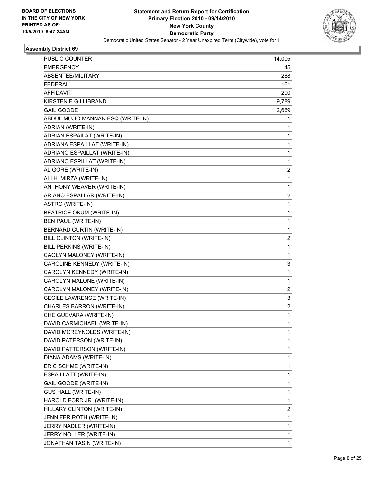

| PUBLIC COUNTER                    | 14,005       |
|-----------------------------------|--------------|
| <b>EMERGENCY</b>                  | 45           |
| ABSENTEE/MILITARY                 | 288          |
| <b>FEDERAL</b>                    | 161          |
| <b>AFFIDAVIT</b>                  | 200          |
| KIRSTEN E GILLIBRAND              | 9,789        |
| <b>GAIL GOODE</b>                 | 2,669        |
| ABDUL MUJIO MANNAN ESQ (WRITE-IN) | 1            |
| ADRIAN (WRITE-IN)                 | 1            |
| ADRIAN ESPAILAT (WRITE-IN)        | 1            |
| ADRIANA ESPAILLAT (WRITE-IN)      | 1            |
| ADRIANO ESPAILLAT (WRITE-IN)      | 1            |
| ADRIANO ESPILLAT (WRITE-IN)       | 1            |
| AL GORE (WRITE-IN)                | 2            |
| ALI H. MIRZA (WRITE-IN)           | 1            |
| ANTHONY WEAVER (WRITE-IN)         | 1            |
| ARIANO ESPALLAR (WRITE-IN)        | 2            |
| ASTRO (WRITE-IN)                  | 1            |
| <b>BEATRICE OKUM (WRITE-IN)</b>   | 1            |
| BEN PAUL (WRITE-IN)               | $\mathbf{1}$ |
| BERNARD CURTIN (WRITE-IN)         | 1            |
| BILL CLINTON (WRITE-IN)           | 2            |
| BILL PERKINS (WRITE-IN)           | 1            |
| CAOLYN MALONEY (WRITE-IN)         | 1            |
| CAROLINE KENNEDY (WRITE-IN)       | 3            |
| CAROLYN KENNEDY (WRITE-IN)        | 1            |
| CAROLYN MALONE (WRITE-IN)         | 1            |
| CAROLYN MALONEY (WRITE-IN)        | 2            |
| CECILE LAWRENCE (WRITE-IN)        | 3            |
| CHARLES BARRON (WRITE-IN)         | 2            |
| CHE GUEVARA (WRITE-IN)            | 1            |
| DAVID CARMICHAEL (WRITE-IN)       | $\mathbf{1}$ |
| DAVID MCREYNOLDS (WRITE-IN)       | 1            |
| DAVID PATERSON (WRITE-IN)         | 1            |
| DAVID PATTERSON (WRITE-IN)        | 1            |
| DIANA ADAMS (WRITE-IN)            | 1            |
| ERIC SCHME (WRITE-IN)             | 1            |
| ESPAILLATT (WRITE-IN)             | 1            |
| GAIL GOODE (WRITE-IN)             | 1            |
| <b>GUS HALL (WRITE-IN)</b>        | 1            |
| HAROLD FORD JR. (WRITE-IN)        | 1            |
| HILLARY CLINTON (WRITE-IN)        | 2            |
| JENNIFER ROTH (WRITE-IN)          | 1            |
| JERRY NADLER (WRITE-IN)           | 1            |
| JERRY NOLLER (WRITE-IN)           | 1            |
| JONATHAN TASIN (WRITE-IN)         | 1            |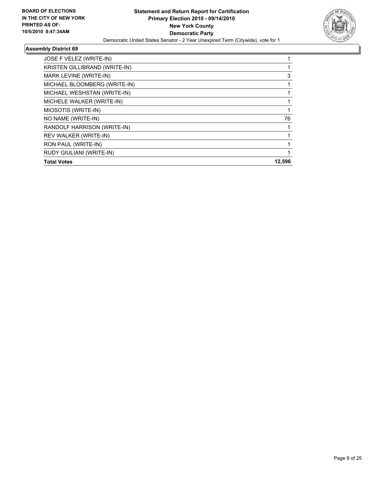

| JOSE F VELEZ (WRITE-IN)              |        |
|--------------------------------------|--------|
| <b>KRISTEN GILLIBRAND (WRITE-IN)</b> |        |
| MARK LEVINE (WRITE-IN)               | 3      |
| MICHAEL BLOOMBERG (WRITE-IN)         |        |
| MICHAEL WESHSTAN (WRITE-IN)          |        |
| MICHELE WALKER (WRITE-IN)            |        |
| MIOSOTIS (WRITE-IN)                  |        |
| NO NAME (WRITE-IN)                   | 76     |
| RANDOLF HARRISON (WRITE-IN)          |        |
| REV WALKER (WRITE-IN)                |        |
| RON PAUL (WRITE-IN)                  |        |
| RUDY GIULIANI (WRITE-IN)             |        |
| <b>Total Votes</b>                   | 12,596 |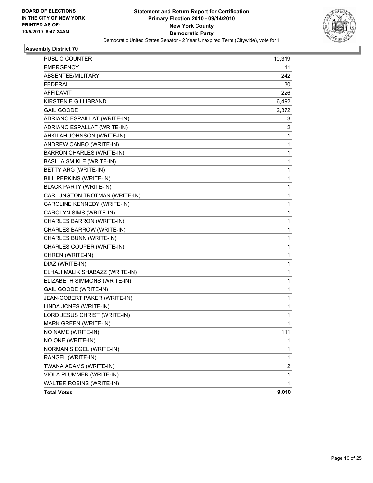

| PUBLIC COUNTER                   | 10,319       |
|----------------------------------|--------------|
| <b>EMERGENCY</b>                 | 11           |
| ABSENTEE/MILITARY                | 242          |
| <b>FEDERAL</b>                   | 30           |
| <b>AFFIDAVIT</b>                 | 226          |
| <b>KIRSTEN E GILLIBRAND</b>      | 6,492        |
| <b>GAIL GOODE</b>                | 2,372        |
| ADRIANO ESPAILLAT (WRITE-IN)     | 3            |
| ADRIANO ESPALLAT (WRITE-IN)      | 2            |
| AHKILAH JOHNSON (WRITE-IN)       | 1            |
| ANDREW CANBO (WRITE-IN)          | 1            |
| <b>BARRON CHARLES (WRITE-IN)</b> | 1            |
| <b>BASIL A SMIKLE (WRITE-IN)</b> | 1            |
| BETTY ARG (WRITE-IN)             | 1            |
| BILL PERKINS (WRITE-IN)          | 1            |
| <b>BLACK PARTY (WRITE-IN)</b>    | 1            |
| CARLUNGTON TROTMAN (WRITE-IN)    | 1            |
| CAROLINE KENNEDY (WRITE-IN)      | 1            |
| CAROLYN SIMS (WRITE-IN)          | 1            |
| CHARLES BARRON (WRITE-IN)        | 1            |
| CHARLES BARROW (WRITE-IN)        | 1            |
| CHARLES BUNN (WRITE-IN)          | 1            |
| CHARLES COUPER (WRITE-IN)        | 1            |
| CHREN (WRITE-IN)                 | 1            |
| DIAZ (WRITE-IN)                  | 1            |
| ELHAJI MALIK SHABAZZ (WRITE-IN)  | 1            |
| ELIZABETH SIMMONS (WRITE-IN)     | 1            |
| GAIL GOODE (WRITE-IN)            | 1            |
| JEAN-COBERT PAKER (WRITE-IN)     | 1            |
| LINDA JONES (WRITE-IN)           | 1            |
| LORD JESUS CHRIST (WRITE-IN)     | 1            |
| MARK GREEN (WRITE-IN)            | $\mathbf{1}$ |
| NO NAME (WRITE-IN)               | 111          |
| NO ONE (WRITE-IN)                | 1            |
| NORMAN SIEGEL (WRITE-IN)         | 1            |
| RANGEL (WRITE-IN)                | 1            |
| TWANA ADAMS (WRITE-IN)           | 2            |
| VIOLA PLUMMER (WRITE-IN)         | 1            |
| WALTER ROBINS (WRITE-IN)         | 1            |
| <b>Total Votes</b>               | 9,010        |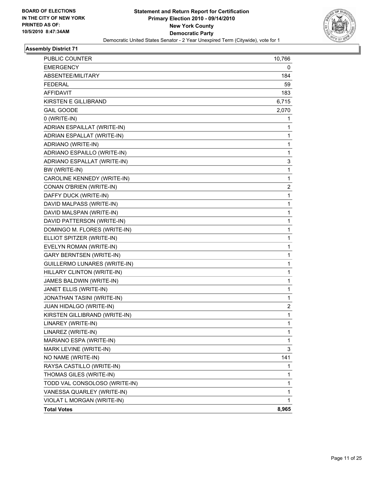

| PUBLIC COUNTER                  | 10,766         |
|---------------------------------|----------------|
| <b>EMERGENCY</b>                | 0              |
| ABSENTEE/MILITARY               | 184            |
| <b>FEDERAL</b>                  | 59             |
| <b>AFFIDAVIT</b>                | 183            |
| <b>KIRSTEN E GILLIBRAND</b>     | 6,715          |
| <b>GAIL GOODE</b>               | 2,070          |
| 0 (WRITE-IN)                    | 1              |
| ADRIAN ESPAILLAT (WRITE-IN)     | 1              |
| ADRIAN ESPALLAT (WRITE-IN)      | 1              |
| ADRIANO (WRITE-IN)              | 1              |
| ADRIANO ESPAILLO (WRITE-IN)     | 1              |
| ADRIANO ESPALLAT (WRITE-IN)     | 3              |
| BW (WRITE-IN)                   | 1              |
| CAROLINE KENNEDY (WRITE-IN)     | 1              |
| CONAN O'BRIEN (WRITE-IN)        | $\overline{c}$ |
| DAFFY DUCK (WRITE-IN)           | 1              |
| DAVID MALPASS (WRITE-IN)        | 1              |
| DAVID MALSPAN (WRITE-IN)        | 1              |
| DAVID PATTERSON (WRITE-IN)      | 1              |
| DOMINGO M. FLORES (WRITE-IN)    | 1              |
| ELLIOT SPITZER (WRITE-IN)       | 1              |
| EVELYN ROMAN (WRITE-IN)         | 1              |
| <b>GARY BERNTSEN (WRITE-IN)</b> | 1              |
| GUILLERMO LUNARES (WRITE-IN)    | 1              |
| HILLARY CLINTON (WRITE-IN)      | 1              |
| JAMES BALDWIN (WRITE-IN)        | 1              |
| JANET ELLIS (WRITE-IN)          | 1              |
| JONATHAN TASINI (WRITE-IN)      | 1              |
| JUAN HIDALGO (WRITE-IN)         | 2              |
| KIRSTEN GILLIBRAND (WRITE-IN)   | 1              |
| LINAREY (WRITE-IN)              | $\mathbf{1}$   |
| LINAREZ (WRITE-IN)              | 1              |
| MARIANO ESPA (WRITE-IN)         | 1              |
| MARK LEVINE (WRITE-IN)          | 3              |
| NO NAME (WRITE-IN)              | 141            |
| RAYSA CASTILLO (WRITE-IN)       | 1              |
| THOMAS GILES (WRITE-IN)         | 1              |
| TODD VAL CONSOLOSO (WRITE-IN)   | 1              |
| VANESSA QUARLEY (WRITE-IN)      | 1              |
| VIOLAT L MORGAN (WRITE-IN)      | $\mathbf{1}$   |
| <b>Total Votes</b>              | 8,965          |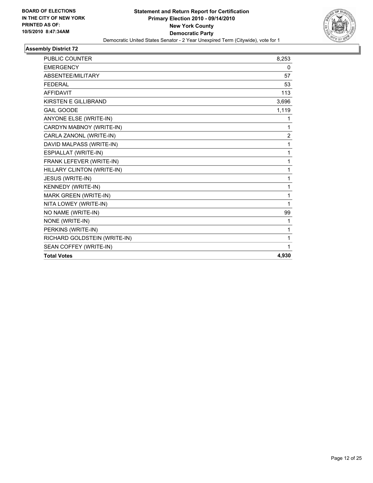

| <b>PUBLIC COUNTER</b>        | 8,253          |
|------------------------------|----------------|
| <b>EMERGENCY</b>             | 0              |
| ABSENTEE/MILITARY            | 57             |
| <b>FEDERAL</b>               | 53             |
| <b>AFFIDAVIT</b>             | 113            |
| <b>KIRSTEN E GILLIBRAND</b>  | 3,696          |
| <b>GAIL GOODE</b>            | 1,119          |
| ANYONE ELSE (WRITE-IN)       | 1              |
| CARDYN MABNOY (WRITE-IN)     | 1              |
| CARLA ZANONL (WRITE-IN)      | $\overline{c}$ |
| DAVID MALPASS (WRITE-IN)     | 1              |
| ESPIALLAT (WRITE-IN)         | 1              |
| FRANK LEFEVER (WRITE-IN)     | 1              |
| HILLARY CLINTON (WRITE-IN)   | 1              |
| JESUS (WRITE-IN)             | 1              |
| KENNEDY (WRITE-IN)           | 1              |
| MARK GREEN (WRITE-IN)        | 1              |
| NITA LOWEY (WRITE-IN)        | 1              |
| NO NAME (WRITE-IN)           | 99             |
| NONE (WRITE-IN)              | 1              |
| PERKINS (WRITE-IN)           | 1              |
| RICHARD GOLDSTEIN (WRITE-IN) | 1              |
| SEAN COFFEY (WRITE-IN)       | 1              |
| <b>Total Votes</b>           | 4,930          |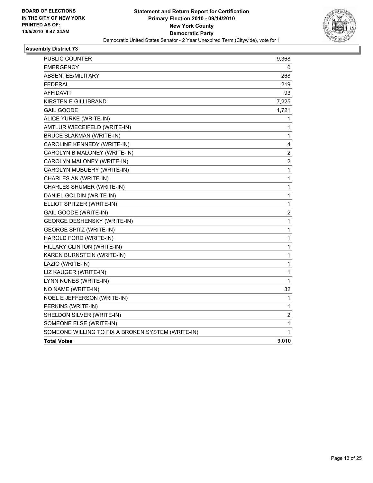

| PUBLIC COUNTER                                    | 9,368                   |
|---------------------------------------------------|-------------------------|
| <b>EMERGENCY</b>                                  | 0                       |
| ABSENTEE/MILITARY                                 | 268                     |
| <b>FEDERAL</b>                                    | 219                     |
| AFFIDAVIT                                         | 93                      |
| KIRSTEN E GILLIBRAND                              | 7,225                   |
| <b>GAIL GOODE</b>                                 | 1,721                   |
| ALICE YURKE (WRITE-IN)                            | 1                       |
| AMTLUR WIECEIFELD (WRITE-IN)                      | 1                       |
| <b>BRUCE BLAKMAN (WRITE-IN)</b>                   | 1                       |
| CAROLINE KENNEDY (WRITE-IN)                       | 4                       |
| CAROLYN B MALONEY (WRITE-IN)                      | $\overline{\mathbf{c}}$ |
| CAROLYN MALONEY (WRITE-IN)                        | $\overline{\mathbf{c}}$ |
| CAROLYN MUBUERY (WRITE-IN)                        | 1                       |
| CHARLES AN (WRITE-IN)                             | 1                       |
| CHARLES SHUMER (WRITE-IN)                         | $\mathbf 1$             |
| DANIEL GOLDIN (WRITE-IN)                          | $\mathbf 1$             |
| ELLIOT SPITZER (WRITE-IN)                         | $\mathbf 1$             |
| GAIL GOODE (WRITE-IN)                             | 2                       |
| <b>GEORGE DESHENSKY (WRITE-IN)</b>                | 1                       |
| <b>GEORGE SPITZ (WRITE-IN)</b>                    | $\mathbf 1$             |
| HAROLD FORD (WRITE-IN)                            | 1                       |
| HILLARY CLINTON (WRITE-IN)                        | 1                       |
| KAREN BURNSTEIN (WRITE-IN)                        | 1                       |
| LAZIO (WRITE-IN)                                  | $\mathbf 1$             |
| LIZ KAUGER (WRITE-IN)                             | 1                       |
| LYNN NUNES (WRITE-IN)                             | 1                       |
| NO NAME (WRITE-IN)                                | 32                      |
| NOEL E JEFFERSON (WRITE-IN)                       | 1                       |
| PERKINS (WRITE-IN)                                | 1                       |
| SHELDON SILVER (WRITE-IN)                         | 2                       |
| SOMEONE ELSE (WRITE-IN)                           | $\mathbf 1$             |
| SOMEONE WILLING TO FIX A BROKEN SYSTEM (WRITE-IN) | 1                       |
| <b>Total Votes</b>                                | 9,010                   |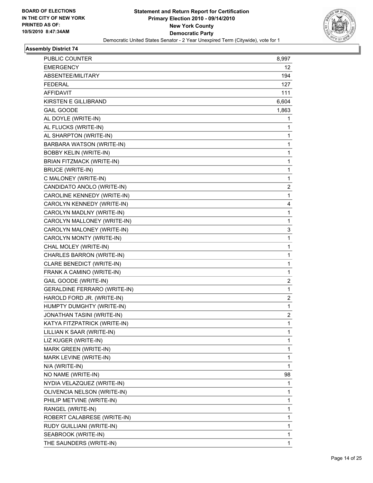

| PUBLIC COUNTER                      | 8,997          |
|-------------------------------------|----------------|
| <b>EMERGENCY</b>                    | 12             |
| ABSENTEE/MILITARY                   | 194            |
| <b>FEDERAL</b>                      | 127            |
| <b>AFFIDAVIT</b>                    | 111            |
| KIRSTEN E GILLIBRAND                | 6,604          |
| <b>GAIL GOODE</b>                   | 1,863          |
| AL DOYLE (WRITE-IN)                 | 1              |
| AL FLUCKS (WRITE-IN)                | 1              |
| AL SHARPTON (WRITE-IN)              | 1              |
| BARBARA WATSON (WRITE-IN)           | 1              |
| <b>BOBBY KELIN (WRITE-IN)</b>       | 1              |
| <b>BRIAN FITZMACK (WRITE-IN)</b>    | 1              |
| <b>BRUCE (WRITE-IN)</b>             | 1              |
| C MALONEY (WRITE-IN)                | 1              |
| CANDIDATO ANOLO (WRITE-IN)          | 2              |
| CAROLINE KENNEDY (WRITE-IN)         | 1              |
| CAROLYN KENNEDY (WRITE-IN)          | 4              |
| CAROLYN MADLNY (WRITE-IN)           | 1              |
| CAROLYN MALLONEY (WRITE-IN)         | 1              |
| CAROLYN MALONEY (WRITE-IN)          | 3              |
| CAROLYN MONTY (WRITE-IN)            | 1              |
| CHAL MOLEY (WRITE-IN)               | 1              |
| CHARLES BARRON (WRITE-IN)           | $\mathbf{1}$   |
| CLARE BENEDICT (WRITE-IN)           | 1              |
| FRANK A CAMINO (WRITE-IN)           | 1              |
| GAIL GOODE (WRITE-IN)               | $\overline{c}$ |
| <b>GERALDINE FERRARO (WRITE-IN)</b> | 1              |
| HAROLD FORD JR. (WRITE-IN)          | 2              |
| HUMPTY DUMGHTY (WRITE-IN)           | $\mathbf{1}$   |
| JONATHAN TASINI (WRITE-IN)          | $\overline{c}$ |
| KATYA FITZPATRICK (WRITE-IN)        | 1              |
| LILLIAN K SAAR (WRITE-IN)           | 1              |
| LIZ KUGER (WRITE-IN)                | 1              |
| MARK GREEN (WRITE-IN)               | 1              |
| MARK LEVINE (WRITE-IN)              | 1              |
| N/A (WRITE-IN)                      | 1              |
| NO NAME (WRITE-IN)                  | 98             |
| NYDIA VELAZQUEZ (WRITE-IN)          | 1              |
| OLIVENCIA NELSON (WRITE-IN)         | 1              |
| PHILIP METVINE (WRITE-IN)           | 1              |
| RANGEL (WRITE-IN)                   | 1              |
| ROBERT CALABRESE (WRITE-IN)         | 1              |
| RUDY GUILLIANI (WRITE-IN)           | 1              |
| SEABROOK (WRITE-IN)                 | 1              |
| THE SAUNDERS (WRITE-IN)             | 1.             |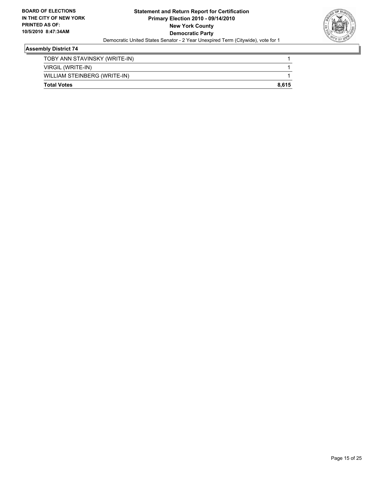

| <b>Total Votes</b>            | 8.615 |
|-------------------------------|-------|
| WILLIAM STEINBERG (WRITE-IN)  |       |
| VIRGIL (WRITE-IN)             |       |
| TOBY ANN STAVINSKY (WRITE-IN) |       |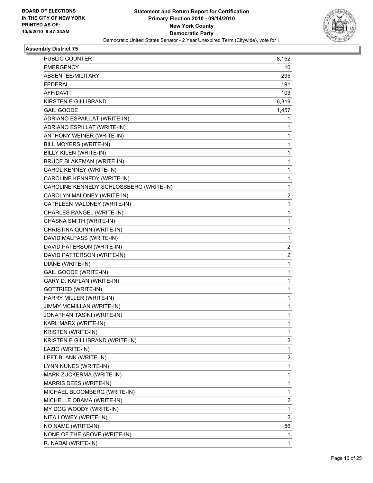

| PUBLIC COUNTER                          | 8,152        |
|-----------------------------------------|--------------|
| <b>EMERGENCY</b>                        | 10           |
| ABSENTEE/MILITARY                       | 235          |
| <b>FEDERAL</b>                          | 191          |
| <b>AFFIDAVIT</b>                        | 103          |
| <b>KIRSTEN E GILLIBRAND</b>             | 6,319        |
| <b>GAIL GOODE</b>                       | 1,457        |
| ADRIANO ESPAILLAT (WRITE-IN)            | 1            |
| ADRIANO ESPILLAT (WRITE-IN)             | 1            |
| ANTHONY WEINER (WRITE-IN)               | 1            |
| BILL MOYERS (WRITE-IN)                  | 1            |
| BILLY KILEN (WRITE-IN)                  | 1            |
| <b>BRUCE BLAKEMAN (WRITE-IN)</b>        | 1            |
| CAROL KENNEY (WRITE-IN)                 | 1            |
| CAROLINE KENNEDY (WRITE-IN)             | 1            |
| CAROLINE KENNEDY SCHLOSSBERG (WRITE-IN) | 1            |
| CAROLYN MALONEY (WRITE-IN)              | 2            |
| CATHLEEN MALONEY (WRITE-IN)             | 1            |
| CHARLES RANGEL (WRITE-IN)               | 1            |
| CHASNA SMITH (WRITE-IN)                 | 1            |
| CHRISTINA QUINN (WRITE-IN)              | 1            |
| DAVID MALPASS (WRITE-IN)                | 1            |
| DAVID PATERSON (WRITE-IN)               | 2            |
| DAVID PATTERSON (WRITE-IN)              | 2            |
| DIANE (WRITE-IN)                        | 1            |
| GAIL GOODE (WRITE-IN)                   | 1            |
| GARY D. KAPLAN (WRITE-IN)               | 1            |
| <b>GOTTRIED (WRITE-IN)</b>              | 1            |
| HARRY MILLER (WRITE-IN)                 | 1            |
| JIMMY MCMILLAN (WRITE-IN)               | 1            |
| JONATHAN TASINI (WRITE-IN)              | 1            |
| KARL MARX (WRITE-IN)                    | $\mathbf{1}$ |
| <b>KRISTEN (WRITE-IN)</b>               | 1            |
| KRISTEN E GILLIBRAND (WRITE-IN)         | 2            |
| LAZIO (WRITE-IN)                        | 1            |
| LEFT BLANK (WRITE-IN)                   | 2            |
| LYNN NUNES (WRITE-IN)                   | 1            |
| MARK ZUCKERMA (WRITE-IN)                | 1            |
| MARRIS DEES (WRITE-IN)                  | 1            |
| MICHAEL BLOOMBERG (WRITE-IN)            | 1            |
| MICHELLE OBAMA (WRITE-IN)               | 2            |
| MY DOG WOODY (WRITE-IN)                 | 1            |
| NITA LOWEY (WRITE-IN)                   | 2            |
| NO NAME (WRITE-IN)                      | 56           |
| NONE OF THE ABOVE (WRITE-IN)            | 1            |
| R. NADAI (WRITE-IN)                     | 1            |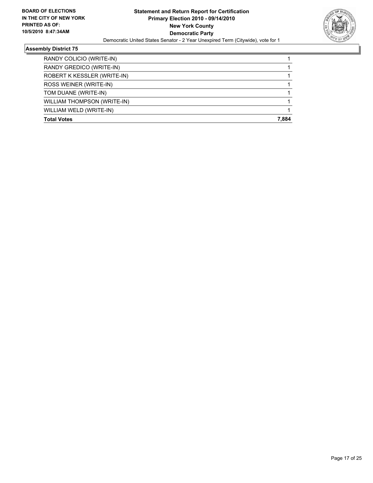

| <b>Total Votes</b>          | 7.884 |
|-----------------------------|-------|
| WILLIAM WELD (WRITE-IN)     |       |
| WILLIAM THOMPSON (WRITE-IN) |       |
| TOM DUANE (WRITE-IN)        |       |
| ROSS WEINER (WRITE-IN)      |       |
| ROBERT K KESSLER (WRITE-IN) |       |
| RANDY GREDICO (WRITE-IN)    |       |
| RANDY COLICIO (WRITE-IN)    |       |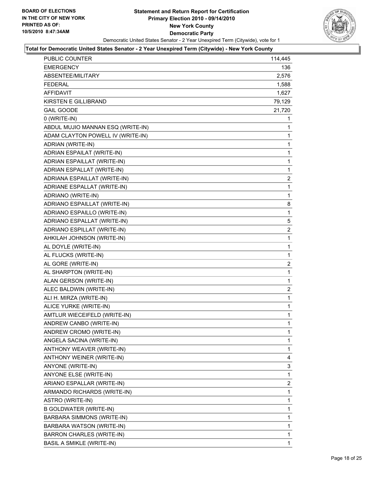

| PUBLIC COUNTER                    | 114,445        |
|-----------------------------------|----------------|
| <b>EMERGENCY</b>                  | 136            |
| ABSENTEE/MILITARY                 | 2,576          |
| <b>FEDERAL</b>                    | 1,588          |
| <b>AFFIDAVIT</b>                  | 1,627          |
| <b>KIRSTEN E GILLIBRAND</b>       | 79,129         |
| <b>GAIL GOODE</b>                 | 21,720         |
| 0 (WRITE-IN)                      | 1              |
| ABDUL MUJIO MANNAN ESQ (WRITE-IN) | 1              |
| ADAM CLAYTON POWELL IV (WRITE-IN) | 1              |
| ADRIAN (WRITE-IN)                 | 1              |
| ADRIAN ESPAILAT (WRITE-IN)        | 1              |
| ADRIAN ESPAILLAT (WRITE-IN)       | 1              |
| ADRIAN ESPALLAT (WRITE-IN)        | 1              |
| ADRIANA ESPAILLAT (WRITE-IN)      | $\overline{2}$ |
| ADRIANE ESPALLAT (WRITE-IN)       | 1              |
| ADRIANO (WRITE-IN)                | 1              |
| ADRIANO ESPAILLAT (WRITE-IN)      | 8              |
| ADRIANO ESPAILLO (WRITE-IN)       | 1              |
| ADRIANO ESPALLAT (WRITE-IN)       | 5              |
| ADRIANO ESPILLAT (WRITE-IN)       | $\overline{2}$ |
| AHKILAH JOHNSON (WRITE-IN)        | 1              |
| AL DOYLE (WRITE-IN)               | 1              |
| AL FLUCKS (WRITE-IN)              | 1              |
| AL GORE (WRITE-IN)                | 2              |
| AL SHARPTON (WRITE-IN)            | 1              |
| ALAN GERSON (WRITE-IN)            | 1              |
| ALEC BALDWIN (WRITE-IN)           | 2              |
| ALI H. MIRZA (WRITE-IN)           | 1              |
| ALICE YURKE (WRITE-IN)            | 1              |
| AMTLUR WIECEIFELD (WRITE-IN)      | $\mathbf{1}$   |
| ANDREW CANBO (WRITE-IN)           | 1              |
| ANDREW CROMO (WRITE-IN)           | 1              |
| ANGELA SACINA (WRITE-IN)          | 1              |
| ANTHONY WEAVER (WRITE-IN)         | 1              |
| ANTHONY WEINER (WRITE-IN)         | 4              |
| ANYONE (WRITE-IN)                 | 3              |
| ANYONE ELSE (WRITE-IN)            | 1              |
| ARIANO ESPALLAR (WRITE-IN)        | $\overline{2}$ |
| ARMANDO RICHARDS (WRITE-IN)       | 1              |
| ASTRO (WRITE-IN)                  | 1              |
| B GOLDWATER (WRITE-IN)            | 1              |
| BARBARA SIMMONS (WRITE-IN)        | 1              |
| BARBARA WATSON (WRITE-IN)         | 1              |
| BARRON CHARLES (WRITE-IN)         | 1              |
| <b>BASIL A SMIKLE (WRITE-IN)</b>  | 1              |
|                                   |                |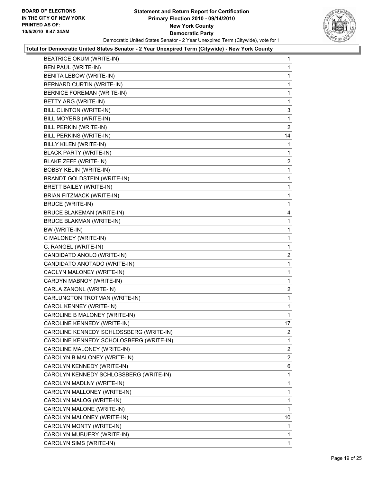

| <b>BEATRICE OKUM (WRITE-IN)</b>         | 1            |
|-----------------------------------------|--------------|
| BEN PAUL (WRITE-IN)                     | 1            |
| BENITA LEBOW (WRITE-IN)                 | 1            |
| BERNARD CURTIN (WRITE-IN)               | 1            |
| <b>BERNICE FOREMAN (WRITE-IN)</b>       | 1            |
| BETTY ARG (WRITE-IN)                    | 1            |
| BILL CLINTON (WRITE-IN)                 | 3            |
| BILL MOYERS (WRITE-IN)                  | 1            |
| <b>BILL PERKIN (WRITE-IN)</b>           | 2            |
| BILL PERKINS (WRITE-IN)                 | 14           |
| BILLY KILEN (WRITE-IN)                  | 1            |
| <b>BLACK PARTY (WRITE-IN)</b>           | 1            |
| BLAKE ZEFF (WRITE-IN)                   | $\mathbf{2}$ |
| <b>BOBBY KELIN (WRITE-IN)</b>           | $\mathbf 1$  |
| <b>BRANDT GOLDSTEIN (WRITE-IN)</b>      | 1            |
| <b>BRETT BAILEY (WRITE-IN)</b>          | 1            |
| <b>BRIAN FITZMACK (WRITE-IN)</b>        | 1            |
| <b>BRUCE (WRITE-IN)</b>                 | 1            |
| <b>BRUCE BLAKEMAN (WRITE-IN)</b>        | 4            |
| <b>BRUCE BLAKMAN (WRITE-IN)</b>         | 1            |
| BW (WRITE-IN)                           | 1            |
| C MALONEY (WRITE-IN)                    | 1            |
| C. RANGEL (WRITE-IN)                    | 1            |
| CANDIDATO ANOLO (WRITE-IN)              | $\mathbf{2}$ |
| CANDIDATO ANOTADO (WRITE-IN)            | 1            |
| CAOLYN MALONEY (WRITE-IN)               | $\mathbf 1$  |
| CARDYN MABNOY (WRITE-IN)                | 1            |
| CARLA ZANONL (WRITE-IN)                 | 2            |
| CARLUNGTON TROTMAN (WRITE-IN)           | 1            |
| CAROL KENNEY (WRITE-IN)                 | 1            |
| CAROLINE B MALONEY (WRITE-IN)           | 1            |
| CAROLINE KENNEDY (WRITE-IN)             | 17           |
| CAROLINE KENNEDY SCHLOSSBERG (WRITE-IN) | 2            |
| CAROLINE KENNEDY SCHOLOSBERG (WRITE-IN) | 1            |
| CAROLINE MALONEY (WRITE-IN)             | 2            |
| CAROLYN B MALONEY (WRITE-IN)            | 2            |
| CAROLYN KENNEDY (WRITE-IN)              | 6            |
| CAROLYN KENNEDY SCHLOSSBERG (WRITE-IN)  | 1            |
| CAROLYN MADLNY (WRITE-IN)               | 1            |
| CAROLYN MALLONEY (WRITE-IN)             | 1            |
| CAROLYN MALOG (WRITE-IN)                | 1            |
| CAROLYN MALONE (WRITE-IN)               | 1            |
| CAROLYN MALONEY (WRITE-IN)              | 10           |
| CAROLYN MONTY (WRITE-IN)                | 1            |
| CAROLYN MUBUERY (WRITE-IN)              | 1            |
| CAROLYN SIMS (WRITE-IN)                 | 1            |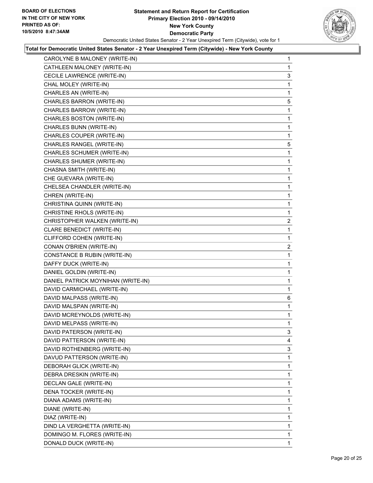

| CAROLYNE B MALONEY (WRITE-IN)       | 1              |
|-------------------------------------|----------------|
| CATHLEEN MALONEY (WRITE-IN)         | 1              |
| CECILE LAWRENCE (WRITE-IN)          | 3              |
| CHAL MOLEY (WRITE-IN)               | 1              |
| CHARLES AN (WRITE-IN)               | 1              |
| CHARLES BARRON (WRITE-IN)           | 5              |
| CHARLES BARROW (WRITE-IN)           | 1              |
| CHARLES BOSTON (WRITE-IN)           | 1              |
| CHARLES BUNN (WRITE-IN)             | 1              |
| CHARLES COUPER (WRITE-IN)           | 1              |
| CHARLES RANGEL (WRITE-IN)           | 5              |
| CHARLES SCHUMER (WRITE-IN)          | 1              |
| CHARLES SHUMER (WRITE-IN)           | 1              |
| CHASNA SMITH (WRITE-IN)             | 1              |
| CHE GUEVARA (WRITE-IN)              | 1              |
| CHELSEA CHANDLER (WRITE-IN)         | 1              |
| CHREN (WRITE-IN)                    | 1              |
| CHRISTINA QUINN (WRITE-IN)          | 1              |
| CHRISTINE RHOLS (WRITE-IN)          | 1              |
| CHRISTOPHER WALKEN (WRITE-IN)       | $\overline{c}$ |
| <b>CLARE BENEDICT (WRITE-IN)</b>    | 1              |
| CLIFFORD COHEN (WRITE-IN)           | 1              |
| CONAN O'BRIEN (WRITE-IN)            | $\mathbf{2}$   |
| <b>CONSTANCE B RUBIN (WRITE-IN)</b> | 1              |
| DAFFY DUCK (WRITE-IN)               | 1              |
| DANIEL GOLDIN (WRITE-IN)            | 1              |
| DANIEL PATRICK MOYNIHAN (WRITE-IN)  | 1              |
| DAVID CARMICHAEL (WRITE-IN)         | 1              |
| DAVID MALPASS (WRITE-IN)            | 6              |
| DAVID MALSPAN (WRITE-IN)            | 1              |
| DAVID MCREYNOLDS (WRITE-IN)         | 1              |
| DAVID MELPASS (WRITE-IN)            | 1              |
| DAVID PATERSON (WRITE-IN)           | 3              |
| DAVID PATTERSON (WRITE-IN)          | 4              |
| DAVID ROTHENBERG (WRITE-IN)         | 3              |
| DAVUD PATTERSON (WRITE-IN)          | 1              |
| DEBORAH GLICK (WRITE-IN)            | 1              |
| DEBRA DRESKIN (WRITE-IN)            | 1              |
| DECLAN GALE (WRITE-IN)              | 1              |
| DENA TOCKER (WRITE-IN)              | 1              |
| DIANA ADAMS (WRITE-IN)              | 1              |
| DIANE (WRITE-IN)                    | 1              |
| DIAZ (WRITE-IN)                     | 1              |
| DIND LA VERGHETTA (WRITE-IN)        | 1              |
| DOMINGO M. FLORES (WRITE-IN)        |                |
|                                     | 1              |
| DONALD DUCK (WRITE-IN)              | 1              |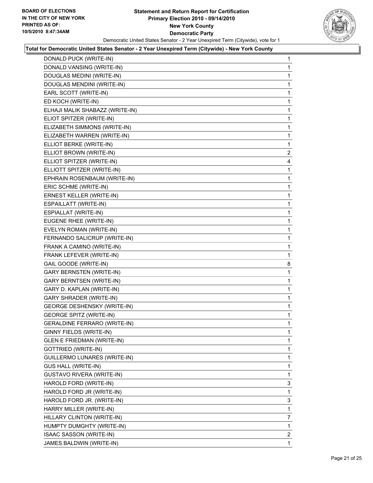

| DONALD PUCK (WRITE-IN)              | 1              |
|-------------------------------------|----------------|
| DONALD VANSING (WRITE-IN)           | 1              |
| DOUGLAS MEDINI (WRITE-IN)           | 1              |
| DOUGLAS MENDINI (WRITE-IN)          | 1              |
| EARL SCOTT (WRITE-IN)               | 1              |
| ED KOCH (WRITE-IN)                  | 1              |
| ELHAJI MALIK SHABAZZ (WRITE-IN)     | 1              |
| ELIOT SPITZER (WRITE-IN)            | 1              |
| ELIZABETH SIMMONS (WRITE-IN)        | 1              |
| ELIZABETH WARREN (WRITE-IN)         | 1              |
| ELLIOT BERKE (WRITE-IN)             | 1              |
| ELLIOT BROWN (WRITE-IN)             | $\overline{2}$ |
| ELLIOT SPITZER (WRITE-IN)           | 4              |
| ELLIOTT SPITZER (WRITE-IN)          | 1              |
| EPHRAIN ROSENBAUM (WRITE-IN)        | 1              |
| ERIC SCHME (WRITE-IN)               | 1              |
| ERNEST KELLER (WRITE-IN)            | 1              |
| ESPAILLATT (WRITE-IN)               | 1              |
| ESPIALLAT (WRITE-IN)                | 1              |
| EUGENE RHEE (WRITE-IN)              | 1              |
| EVELYN ROMAN (WRITE-IN)             | 1              |
| FERNANDO SALICRUP (WRITE-IN)        | 1              |
| FRANK A CAMINO (WRITE-IN)           | 1              |
| FRANK LEFEVER (WRITE-IN)            | 1              |
| GAIL GOODE (WRITE-IN)               | 8              |
| <b>GARY BERNSTEN (WRITE-IN)</b>     | 1              |
| <b>GARY BERNTSEN (WRITE-IN)</b>     | 1              |
| GARY D. KAPLAN (WRITE-IN)           | 1              |
| <b>GARY SHRADER (WRITE-IN)</b>      | 1              |
| <b>GEORGE DESHENSKY (WRITE-IN)</b>  | 1              |
| <b>GEORGE SPITZ (WRITE-IN)</b>      | 1              |
| <b>GERALDINE FERRARO (WRITE-IN)</b> | 1              |
| GINNY FIELDS (WRITE-IN)             | 1              |
| <b>GLEN E FRIEDMAN (WRITE-IN)</b>   | 1              |
| <b>GOTTRIED (WRITE-IN)</b>          | 1              |
| GUILLERMO LUNARES (WRITE-IN)        | 1              |
| <b>GUS HALL (WRITE-IN)</b>          | 1              |
| <b>GUSTAVO RIVERA (WRITE-IN)</b>    | 1              |
| HAROLD FORD (WRITE-IN)              | 3              |
| HAROLD FORD JR (WRITE-IN)           | 1              |
| HAROLD FORD JR. (WRITE-IN)          | 3              |
| HARRY MILLER (WRITE-IN)             | 1              |
| HILLARY CLINTON (WRITE-IN)          | $\overline{7}$ |
| HUMPTY DUMGHTY (WRITE-IN)           | 1              |
| ISAAC SASSON (WRITE-IN)             | $\overline{2}$ |
|                                     |                |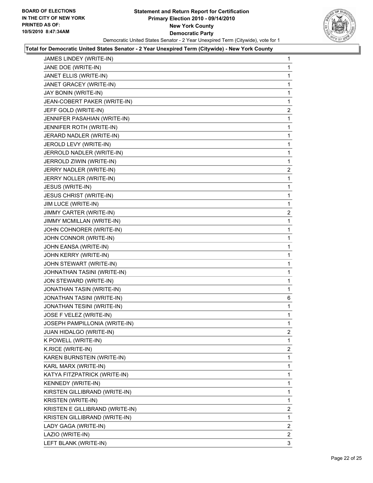

| JAMES LINDEY (WRITE-IN)         | $\mathbf{1}$   |
|---------------------------------|----------------|
| JANE DOE (WRITE-IN)             | 1              |
| JANET ELLIS (WRITE-IN)          | 1              |
| JANET GRACEY (WRITE-IN)         | 1              |
| JAY BONIN (WRITE-IN)            | 1              |
| JEAN-COBERT PAKER (WRITE-IN)    | 1              |
| JEFF GOLD (WRITE-IN)            | 2              |
| JENNIFER PASAHIAN (WRITE-IN)    | 1              |
| JENNIFER ROTH (WRITE-IN)        | 1              |
| JERARD NADLER (WRITE-IN)        | 1              |
| JEROLD LEVY (WRITE-IN)          | 1              |
| JERROLD NADLER (WRITE-IN)       | 1              |
| JERROLD ZIWIN (WRITE-IN)        | 1              |
| JERRY NADLER (WRITE-IN)         | $\overline{2}$ |
| JERRY NOLLER (WRITE-IN)         | 1              |
| JESUS (WRITE-IN)                | 1              |
| <b>JESUS CHRIST (WRITE-IN)</b>  | 1              |
| JIM LUCE (WRITE-IN)             | 1              |
| JIMMY CARTER (WRITE-IN)         | 2              |
| JIMMY MCMILLAN (WRITE-IN)       | 1              |
| JOHN COHNORER (WRITE-IN)        | 1              |
| JOHN CONNOR (WRITE-IN)          | 1              |
| JOHN EANSA (WRITE-IN)           | 1              |
| JOHN KERRY (WRITE-IN)           | 1              |
| JOHN STEWART (WRITE-IN)         | 1              |
| JOHNATHAN TASINI (WRITE-IN)     | 1              |
| JON STEWARD (WRITE-IN)          | 1              |
| JONATHAN TASIN (WRITE-IN)       | 1              |
| JONATHAN TASINI (WRITE-IN)      | 6              |
| JONATHAN TESINI (WRITE-IN)      | 1              |
| JOSE F VELEZ (WRITE-IN)         | 1              |
| JOSEPH PAMPILLONIA (WRITE-IN)   | 1              |
| JUAN HIDALGO (WRITE-IN)         | 2              |
| K POWELL (WRITE-IN)             | 1              |
| K.RICE (WRITE-IN)               | 2              |
| KAREN BURNSTEIN (WRITE-IN)      | 1              |
| KARL MARX (WRITE-IN)            | 1              |
| KATYA FITZPATRICK (WRITE-IN)    | 1              |
| KENNEDY (WRITE-IN)              | 1              |
| KIRSTEN GILLIBRAND (WRITE-IN)   | 1              |
| KRISTEN (WRITE-IN)              | 1              |
| KRISTEN E GILLIBRAND (WRITE-IN) | 2              |
| KRISTEN GILLIBRAND (WRITE-IN)   | 1              |
| LADY GAGA (WRITE-IN)            | $\overline{2}$ |
| LAZIO (WRITE-IN)                | 2              |
| LEFT BLANK (WRITE-IN)           | 3              |
|                                 |                |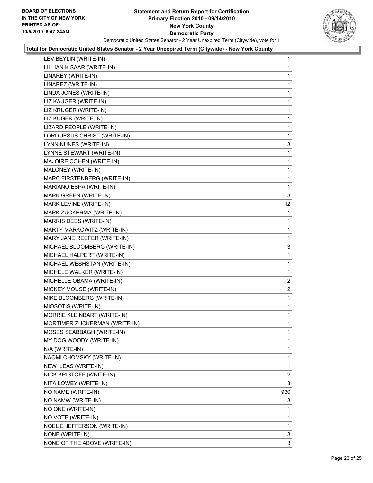

| LEV BEYLIN (WRITE-IN)         | 1            |
|-------------------------------|--------------|
| LILLIAN K SAAR (WRITE-IN)     | $\mathbf{1}$ |
| LINAREY (WRITE-IN)            | 1            |
| LINAREZ (WRITE-IN)            | 1            |
| LINDA JONES (WRITE-IN)        | 1            |
| LIZ KAUGER (WRITE-IN)         | 1            |
| LIZ KRUGER (WRITE-IN)         | 1            |
| LIZ KUGER (WRITE-IN)          | 1            |
| LIZARD PEOPLE (WRITE-IN)      | 1            |
| LORD JESUS CHRIST (WRITE-IN)  | 1            |
| LYNN NUNES (WRITE-IN)         | 3            |
| LYNNE STEWART (WRITE-IN)      | 1            |
| MAJOIRE COHEN (WRITE-IN)      | 1            |
| MALONEY (WRITE-IN)            | 1            |
| MARC FIRSTENBERG (WRITE-IN)   | 1            |
| MARIANO ESPA (WRITE-IN)       | 1            |
| MARK GREEN (WRITE-IN)         | 3            |
| MARK LEVINE (WRITE-IN)        | 12           |
| MARK ZUCKERMA (WRITE-IN)      | 1            |
| MARRIS DEES (WRITE-IN)        | 1            |
| MARTY MARKOWITZ (WRITE-IN)    | 1            |
| MARY JANE REEFER (WRITE-IN)   | 1            |
| MICHAEL BLOOMBERG (WRITE-IN)  | 3            |
| MICHAEL HALPERT (WRITE-IN)    | 1            |
| MICHAEL WESHSTAN (WRITE-IN)   | 1            |
| MICHELE WALKER (WRITE-IN)     | 1            |
| MICHELLE OBAMA (WRITE-IN)     | $\mathbf{2}$ |
| MICKEY MOUSE (WRITE-IN)       | 2            |
| MIKE BLOOMBERG (WRITE-IN)     | 1            |
| MIOSOTIS (WRITE-IN)           | 1            |
| MORRIE KLEINBART (WRITE-IN)   | 1            |
| MORTIMER ZUCKERMAN (WRITE-IN) | 1            |
| MOSES SEABBAGH (WRITE-IN)     | 1            |
| MY DOG WOODY (WRITE-IN)       | 1            |
| N/A (WRITE-IN)                | 1            |
| NAOMI CHOMSKY (WRITE-IN)      | 1            |
| NEW ILEAS (WRITE-IN)          | 1            |
| NICK KRISTOFF (WRITE-IN)      | 2            |
| NITA LOWEY (WRITE-IN)         | 3            |
| NO NAME (WRITE-IN)            | 930          |
| NO NAMW (WRITE-IN)            | 3            |
| NO ONE (WRITE-IN)             | 1            |
| NO VOTE (WRITE-IN)            | 1            |
| NOEL E JEFFERSON (WRITE-IN)   | 1            |
| NONE (WRITE-IN)               | 3            |
| NONE OF THE ABOVE (WRITE-IN)  | 3            |
|                               |              |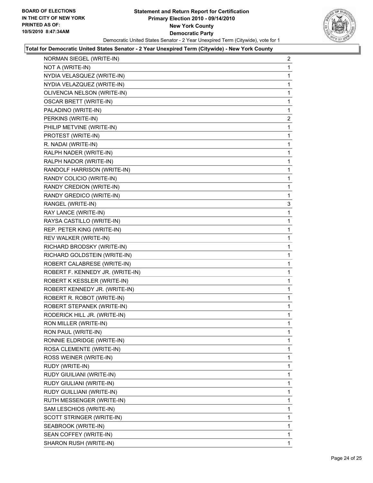

| NORMAN SIEGEL (WRITE-IN)         | 2 |
|----------------------------------|---|
| NOT A (WRITE-IN)                 | 1 |
| NYDIA VELASQUEZ (WRITE-IN)       | 1 |
| NYDIA VELAZQUEZ (WRITE-IN)       | 1 |
| OLIVENCIA NELSON (WRITE-IN)      | 1 |
| <b>OSCAR BRETT (WRITE-IN)</b>    | 1 |
| PALADINO (WRITE-IN)              | 1 |
| PERKINS (WRITE-IN)               | 2 |
| PHILIP METVINE (WRITE-IN)        | 1 |
| PROTEST (WRITE-IN)               | 1 |
| R. NADAI (WRITE-IN)              | 1 |
| RALPH NADER (WRITE-IN)           | 1 |
| RALPH NADOR (WRITE-IN)           | 1 |
| RANDOLF HARRISON (WRITE-IN)      | 1 |
| RANDY COLICIO (WRITE-IN)         | 1 |
| RANDY CREDION (WRITE-IN)         | 1 |
| RANDY GREDICO (WRITE-IN)         | 1 |
| RANGEL (WRITE-IN)                | 3 |
| RAY LANCE (WRITE-IN)             | 1 |
| RAYSA CASTILLO (WRITE-IN)        | 1 |
| REP. PETER KING (WRITE-IN)       | 1 |
| REV WALKER (WRITE-IN)            | 1 |
| RICHARD BRODSKY (WRITE-IN)       | 1 |
| RICHARD GOLDSTEIN (WRITE-IN)     | 1 |
| ROBERT CALABRESE (WRITE-IN)      | 1 |
| ROBERT F. KENNEDY JR. (WRITE-IN) | 1 |
| ROBERT K KESSLER (WRITE-IN)      | 1 |
| ROBERT KENNEDY JR. (WRITE-IN)    | 1 |
| ROBERT R. ROBOT (WRITE-IN)       | 1 |
| ROBERT STEPANEK (WRITE-IN)       | 1 |
| RODERICK HILL JR. (WRITE-IN)     | 1 |
| RON MILLER (WRITE-IN)            | 1 |
| RON PAUL (WRITE-IN)              | 1 |
| RONNIE ELDRIDGE (WRITE-IN)       | 1 |
| ROSA CLEMENTE (WRITE-IN)         | 1 |
| ROSS WEINER (WRITE-IN)           | 1 |
| RUDY (WRITE-IN)                  | 1 |
| RUDY GIUILIANI (WRITE-IN)        | 1 |
| RUDY GIULIANI (WRITE-IN)         | 1 |
| RUDY GUILLIANI (WRITE-IN)        | 1 |
| RUTH MESSENGER (WRITE-IN)        | 1 |
| SAM LESCHIOS (WRITE-IN)          | 1 |
| SCOTT STRINGER (WRITE-IN)        | 1 |
| SEABROOK (WRITE-IN)              | 1 |
| SEAN COFFEY (WRITE-IN)           | 1 |
| SHARON RUSH (WRITE-IN)           | 1 |
|                                  |   |